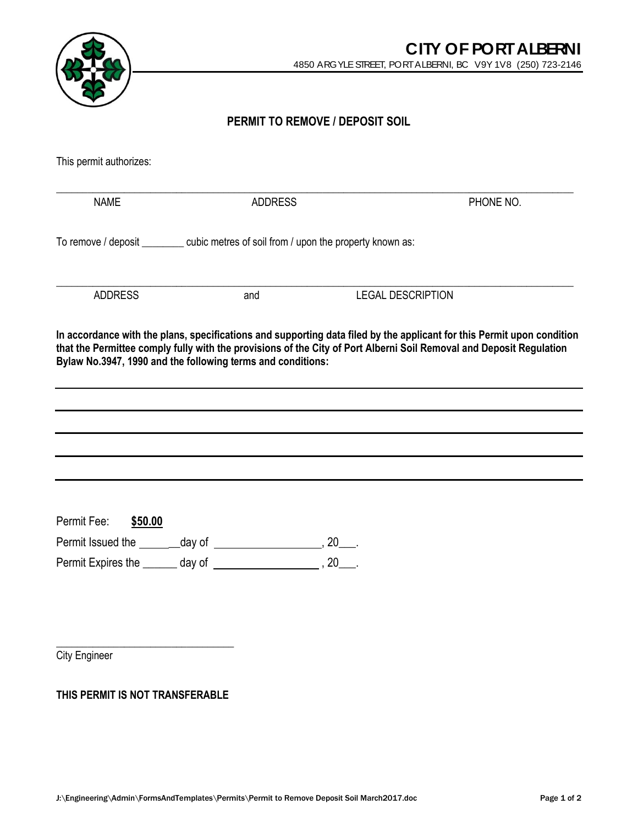

**PERMIT TO REMOVE / DEPOSIT SOIL**

| This permit authorizes:                                                                |                |                                                                                                                                                                                                                                               |
|----------------------------------------------------------------------------------------|----------------|-----------------------------------------------------------------------------------------------------------------------------------------------------------------------------------------------------------------------------------------------|
| <b>NAME</b>                                                                            | <b>ADDRESS</b> | PHONE NO.                                                                                                                                                                                                                                     |
| To remove / deposit __________ cubic metres of soil from / upon the property known as: |                |                                                                                                                                                                                                                                               |
| <b>ADDRESS</b>                                                                         | and            | <b>LEGAL DESCRIPTION</b>                                                                                                                                                                                                                      |
| Bylaw No.3947, 1990 and the following terms and conditions:                            |                | In accordance with the plans, specifications and supporting data filed by the applicant for this Permit upon condition<br>that the Permittee comply fully with the provisions of the City of Port Alberni Soil Removal and Deposit Regulation |
|                                                                                        |                |                                                                                                                                                                                                                                               |
|                                                                                        |                |                                                                                                                                                                                                                                               |
|                                                                                        |                |                                                                                                                                                                                                                                               |
|                                                                                        |                |                                                                                                                                                                                                                                               |
| Permit Fee:<br>\$50.00                                                                 |                |                                                                                                                                                                                                                                               |
|                                                                                        |                |                                                                                                                                                                                                                                               |
|                                                                                        |                |                                                                                                                                                                                                                                               |
|                                                                                        |                |                                                                                                                                                                                                                                               |
|                                                                                        |                |                                                                                                                                                                                                                                               |

**City Engineer** 

**THIS PERMIT IS NOT TRANSFERABLE**

\_\_\_\_\_\_\_\_\_\_\_\_\_\_\_\_\_\_\_\_\_\_\_\_\_\_\_\_\_\_\_\_\_\_